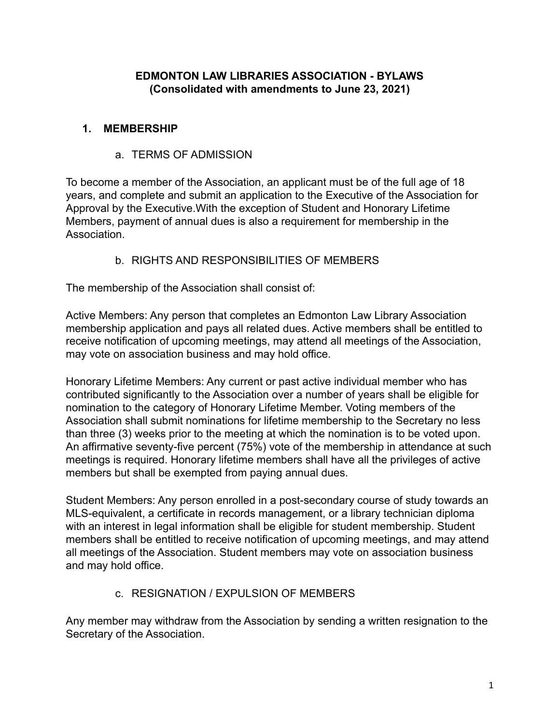### **EDMONTON LAW LIBRARIES ASSOCIATION - BYLAWS (Consolidated with amendments to June 23, 2021)**

#### **1. MEMBERSHIP**

#### a. TERMS OF ADMISSION

To become a member of the Association, an applicant must be of the full age of 18 years, and complete and submit an application to the Executive of the Association for Approval by the Executive.With the exception of Student and Honorary Lifetime Members, payment of annual dues is also a requirement for membership in the **Association** 

#### b. RIGHTS AND RESPONSIBILITIES OF MEMBERS

The membership of the Association shall consist of:

Active Members: Any person that completes an Edmonton Law Library Association membership application and pays all related dues. Active members shall be entitled to receive notification of upcoming meetings, may attend all meetings of the Association, may vote on association business and may hold office.

Honorary Lifetime Members: Any current or past active individual member who has contributed significantly to the Association over a number of years shall be eligible for nomination to the category of Honorary Lifetime Member. Voting members of the Association shall submit nominations for lifetime membership to the Secretary no less than three (3) weeks prior to the meeting at which the nomination is to be voted upon. An affirmative seventy-five percent (75%) vote of the membership in attendance at such meetings is required. Honorary lifetime members shall have all the privileges of active members but shall be exempted from paying annual dues.

Student Members: Any person enrolled in a post-secondary course of study towards an MLS-equivalent, a certificate in records management, or a library technician diploma with an interest in legal information shall be eligible for student membership. Student members shall be entitled to receive notification of upcoming meetings, and may attend all meetings of the Association. Student members may vote on association business and may hold office.

#### c. RESIGNATION / EXPULSION OF MEMBERS

Any member may withdraw from the Association by sending a written resignation to the Secretary of the Association.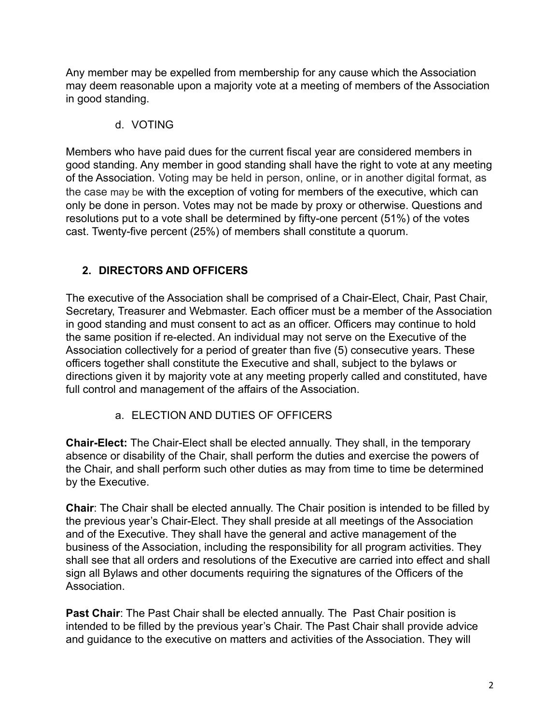Any member may be expelled from membership for any cause which the Association may deem reasonable upon a majority vote at a meeting of members of the Association in good standing.

## d. VOTING

Members who have paid dues for the current fiscal year are considered members in good standing. Any member in good standing shall have the right to vote at any meeting of the Association. Voting may be held in person, online, or in another digital format, as the case may be with the exception of voting for members of the executive, which can only be done in person. Votes may not be made by proxy or otherwise. Questions and resolutions put to a vote shall be determined by fifty-one percent (51%) of the votes cast. Twenty-five percent (25%) of members shall constitute a quorum.

# **2. DIRECTORS AND OFFICERS**

The executive of the Association shall be comprised of a Chair-Elect, Chair, Past Chair, Secretary, Treasurer and Webmaster. Each officer must be a member of the Association in good standing and must consent to act as an officer. Officers may continue to hold the same position if re-elected. An individual may not serve on the Executive of the Association collectively for a period of greater than five (5) consecutive years. These officers together shall constitute the Executive and shall, subject to the bylaws or directions given it by majority vote at any meeting properly called and constituted, have full control and management of the affairs of the Association.

## a. ELECTION AND DUTIES OF OFFICERS

**Chair-Elect:** The Chair-Elect shall be elected annually. They shall, in the temporary absence or disability of the Chair, shall perform the duties and exercise the powers of the Chair, and shall perform such other duties as may from time to time be determined by the Executive.

**Chair**: The Chair shall be elected annually. The Chair position is intended to be filled by the previous year's Chair-Elect. They shall preside at all meetings of the Association and of the Executive. They shall have the general and active management of the business of the Association, including the responsibility for all program activities. They shall see that all orders and resolutions of the Executive are carried into effect and shall sign all Bylaws and other documents requiring the signatures of the Officers of the Association.

Past Chair: The Past Chair shall be elected annually. The Past Chair position is intended to be filled by the previous year's Chair. The Past Chair shall provide advice and guidance to the executive on matters and activities of the Association. They will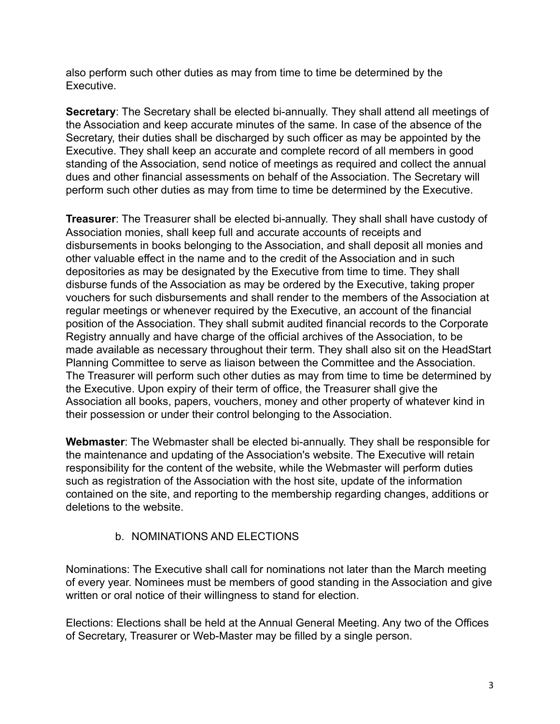also perform such other duties as may from time to time be determined by the Executive.

**Secretary**: The Secretary shall be elected bi-annually. They shall attend all meetings of the Association and keep accurate minutes of the same. In case of the absence of the Secretary, their duties shall be discharged by such officer as may be appointed by the Executive. They shall keep an accurate and complete record of all members in good standing of the Association, send notice of meetings as required and collect the annual dues and other financial assessments on behalf of the Association. The Secretary will perform such other duties as may from time to time be determined by the Executive.

**Treasurer**: The Treasurer shall be elected bi-annually. They shall shall have custody of Association monies, shall keep full and accurate accounts of receipts and disbursements in books belonging to the Association, and shall deposit all monies and other valuable effect in the name and to the credit of the Association and in such depositories as may be designated by the Executive from time to time. They shall disburse funds of the Association as may be ordered by the Executive, taking proper vouchers for such disbursements and shall render to the members of the Association at regular meetings or whenever required by the Executive, an account of the financial position of the Association. They shall submit audited financial records to the Corporate Registry annually and have charge of the official archives of the Association, to be made available as necessary throughout their term. They shall also sit on the HeadStart Planning Committee to serve as liaison between the Committee and the Association. The Treasurer will perform such other duties as may from time to time be determined by the Executive. Upon expiry of their term of office, the Treasurer shall give the Association all books, papers, vouchers, money and other property of whatever kind in their possession or under their control belonging to the Association.

**Webmaster**: The Webmaster shall be elected bi-annually. They shall be responsible for the maintenance and updating of the Association's website. The Executive will retain responsibility for the content of the website, while the Webmaster will perform duties such as registration of the Association with the host site, update of the information contained on the site, and reporting to the membership regarding changes, additions or deletions to the website.

#### b. NOMINATIONS AND ELECTIONS

Nominations: The Executive shall call for nominations not later than the March meeting of every year. Nominees must be members of good standing in the Association and give written or oral notice of their willingness to stand for election.

Elections: Elections shall be held at the Annual General Meeting. Any two of the Offices of Secretary, Treasurer or Web-Master may be filled by a single person.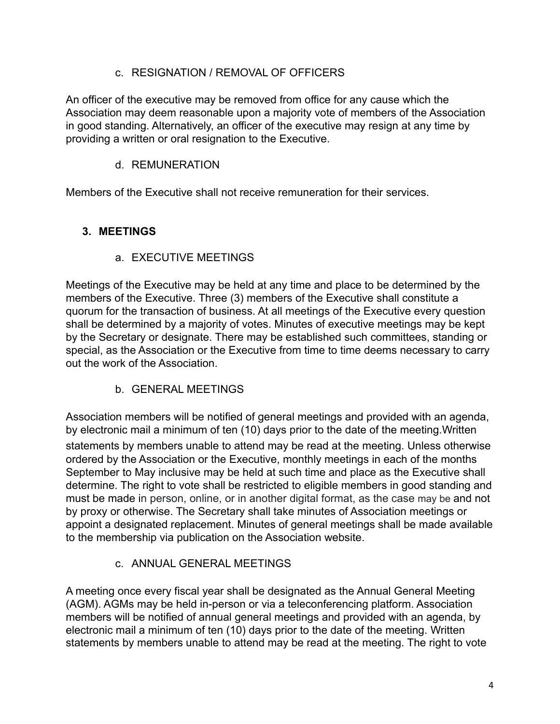### c. RESIGNATION / REMOVAL OF OFFICERS

An officer of the executive may be removed from office for any cause which the Association may deem reasonable upon a majority vote of members of the Association in good standing. Alternatively, an officer of the executive may resign at any time by providing a written or oral resignation to the Executive.

### d. REMUNERATION

Members of the Executive shall not receive remuneration for their services.

## **3. MEETINGS**

### a. EXECUTIVE MEETINGS

Meetings of the Executive may be held at any time and place to be determined by the members of the Executive. Three (3) members of the Executive shall constitute a quorum for the transaction of business. At all meetings of the Executive every question shall be determined by a majority of votes. Minutes of executive meetings may be kept by the Secretary or designate. There may be established such committees, standing or special, as the Association or the Executive from time to time deems necessary to carry out the work of the Association.

b. GENERAL MEETINGS

Association members will be notified of general meetings and provided with an agenda, by electronic mail a minimum of ten (10) days prior to the date of the meeting.Written

statements by members unable to attend may be read at the meeting. Unless otherwise ordered by the Association or the Executive, monthly meetings in each of the months September to May inclusive may be held at such time and place as the Executive shall determine. The right to vote shall be restricted to eligible members in good standing and must be made in person, online, or in another digital format, as the case may be and not by proxy or otherwise. The Secretary shall take minutes of Association meetings or appoint a designated replacement. Minutes of general meetings shall be made available to the membership via publication on the Association website.

## c. ANNUAL GENERAL MEETINGS

A meeting once every fiscal year shall be designated as the Annual General Meeting (AGM). AGMs may be held in-person or via a teleconferencing platform. Association members will be notified of annual general meetings and provided with an agenda, by electronic mail a minimum of ten (10) days prior to the date of the meeting. Written statements by members unable to attend may be read at the meeting. The right to vote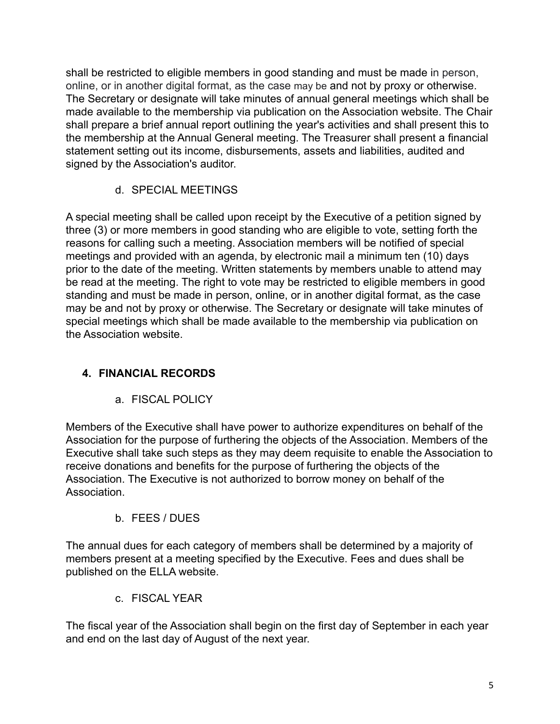shall be restricted to eligible members in good standing and must be made in person, online, or in another digital format, as the case may be and not by proxy or otherwise. The Secretary or designate will take minutes of annual general meetings which shall be made available to the membership via publication on the Association website. The Chair shall prepare a brief annual report outlining the year's activities and shall present this to the membership at the Annual General meeting. The Treasurer shall present a financial statement setting out its income, disbursements, assets and liabilities, audited and signed by the Association's auditor.

d. SPECIAL MEETINGS

A special meeting shall be called upon receipt by the Executive of a petition signed by three (3) or more members in good standing who are eligible to vote, setting forth the reasons for calling such a meeting. Association members will be notified of special meetings and provided with an agenda, by electronic mail a minimum ten (10) days prior to the date of the meeting. Written statements by members unable to attend may be read at the meeting. The right to vote may be restricted to eligible members in good standing and must be made in person, online, or in another digital format, as the case may be and not by proxy or otherwise. The Secretary or designate will take minutes of special meetings which shall be made available to the membership via publication on the Association website.

# **4. FINANCIAL RECORDS**

a. FISCAL POLICY

Members of the Executive shall have power to authorize expenditures on behalf of the Association for the purpose of furthering the objects of the Association. Members of the Executive shall take such steps as they may deem requisite to enable the Association to receive donations and benefits for the purpose of furthering the objects of the Association. The Executive is not authorized to borrow money on behalf of the **Association** 

## b. FEES / DUES

The annual dues for each category of members shall be determined by a majority of members present at a meeting specified by the Executive. Fees and dues shall be published on the ELLA website.

c. FISCAL YEAR

The fiscal year of the Association shall begin on the first day of September in each year and end on the last day of August of the next year.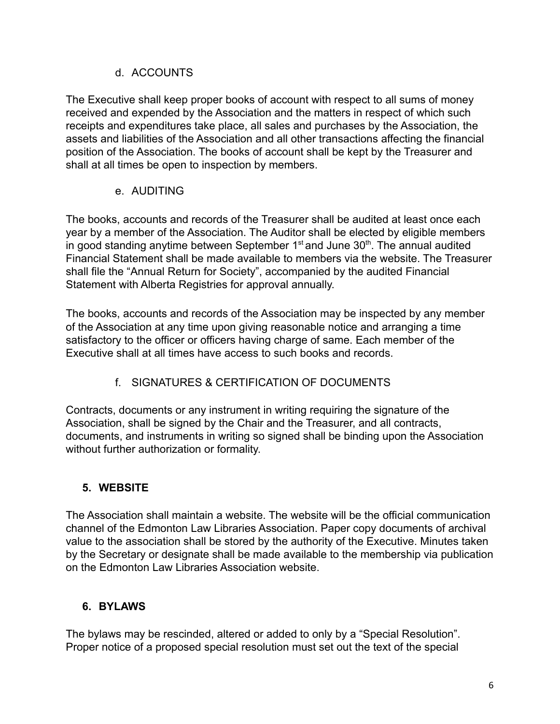#### d. ACCOUNTS

The Executive shall keep proper books of account with respect to all sums of money received and expended by the Association and the matters in respect of which such receipts and expenditures take place, all sales and purchases by the Association, the assets and liabilities of the Association and all other transactions affecting the financial position of the Association. The books of account shall be kept by the Treasurer and shall at all times be open to inspection by members.

### e. AUDITING

The books, accounts and records of the Treasurer shall be audited at least once each year by a member of the Association. The Auditor shall be elected by eligible members in good standing anytime between September  $1<sup>st</sup>$  and June  $30<sup>th</sup>$ . The annual audited Financial Statement shall be made available to members via the website. The Treasurer shall file the "Annual Return for Society", accompanied by the audited Financial Statement with Alberta Registries for approval annually.

The books, accounts and records of the Association may be inspected by any member of the Association at any time upon giving reasonable notice and arranging a time satisfactory to the officer or officers having charge of same. Each member of the Executive shall at all times have access to such books and records.

# f. SIGNATURES & CERTIFICATION OF DOCUMENTS

Contracts, documents or any instrument in writing requiring the signature of the Association, shall be signed by the Chair and the Treasurer, and all contracts, documents, and instruments in writing so signed shall be binding upon the Association without further authorization or formality.

# **5. WEBSITE**

The Association shall maintain a website. The website will be the official communication channel of the Edmonton Law Libraries Association. Paper copy documents of archival value to the association shall be stored by the authority of the Executive. Minutes taken by the Secretary or designate shall be made available to the membership via publication on the Edmonton Law Libraries Association website.

## **6. BYLAWS**

The bylaws may be rescinded, altered or added to only by a "Special Resolution". Proper notice of a proposed special resolution must set out the text of the special